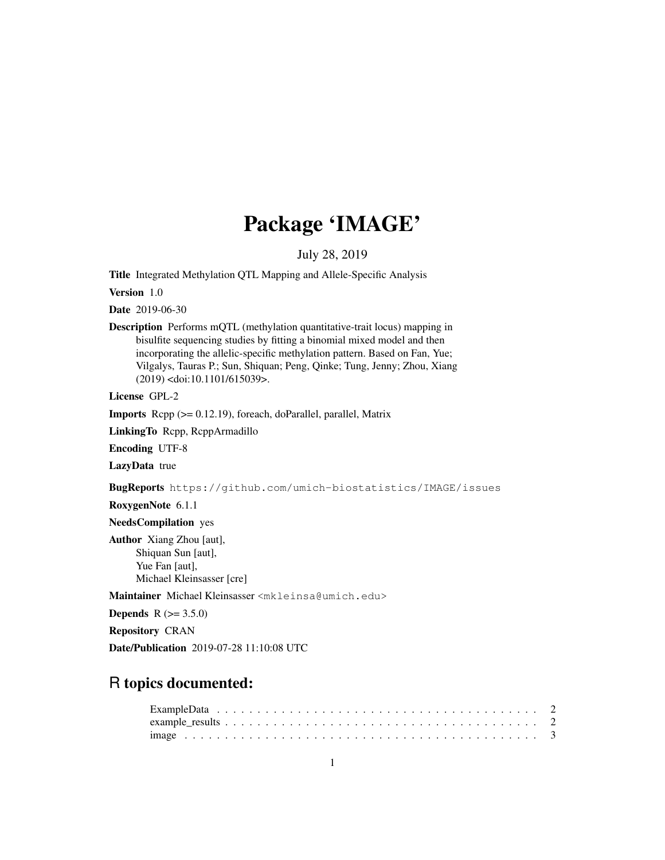# Package 'IMAGE'

July 28, 2019

Title Integrated Methylation QTL Mapping and Allele-Specific Analysis

Version 1.0

Date 2019-06-30

Description Performs mQTL (methylation quantitative-trait locus) mapping in bisulfite sequencing studies by fitting a binomial mixed model and then incorporating the allelic-specific methylation pattern. Based on Fan, Yue; Vilgalys, Tauras P.; Sun, Shiquan; Peng, Qinke; Tung, Jenny; Zhou, Xiang (2019) <doi:10.1101/615039>.

License GPL-2

Imports Rcpp (>= 0.12.19), foreach, doParallel, parallel, Matrix

LinkingTo Rcpp, RcppArmadillo

Encoding UTF-8

LazyData true

BugReports https://github.com/umich-biostatistics/IMAGE/issues

RoxygenNote 6.1.1

NeedsCompilation yes

Author Xiang Zhou [aut], Shiquan Sun [aut], Yue Fan [aut], Michael Kleinsasser [cre]

Maintainer Michael Kleinsasser <mkleinsa@umich.edu>

**Depends** R  $(>= 3.5.0)$ 

Repository CRAN

Date/Publication 2019-07-28 11:10:08 UTC

# R topics documented: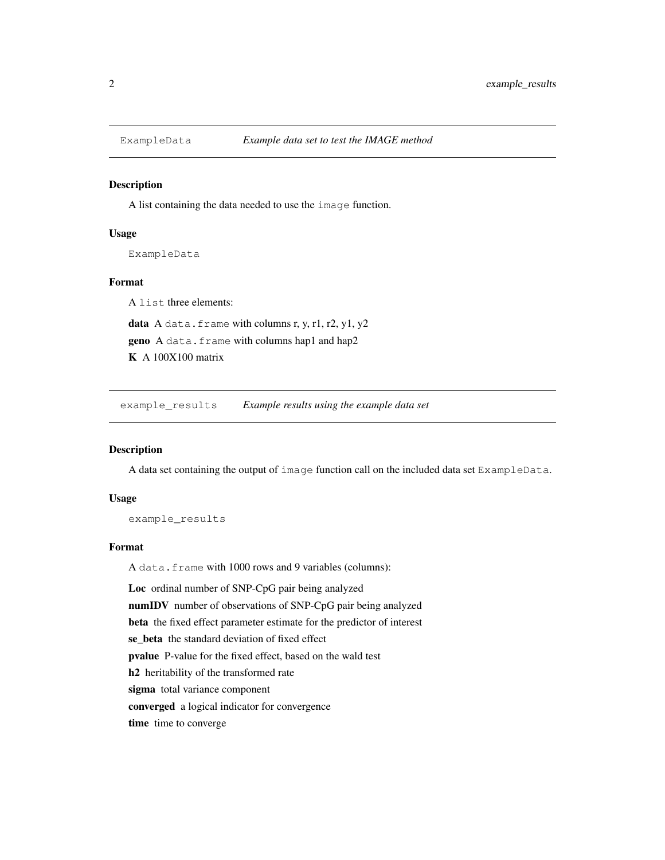# Description

A list containing the data needed to use the image function.

# Usage

ExampleData

# Format

A list three elements: data A data.frame with columns r, y, r1, r2, y1, y2 geno A data.frame with columns hap1 and hap2 K A 100X100 matrix

example\_results *Example results using the example data set*

#### Description

A data set containing the output of image function call on the included data set ExampleData.

#### Usage

example\_results

#### Format

A data.frame with 1000 rows and 9 variables (columns):

Loc ordinal number of SNP-CpG pair being analyzed

numIDV number of observations of SNP-CpG pair being analyzed

beta the fixed effect parameter estimate for the predictor of interest

se\_beta the standard deviation of fixed effect

pvalue P-value for the fixed effect, based on the wald test

h2 heritability of the transformed rate

sigma total variance component

converged a logical indicator for convergence

time time to converge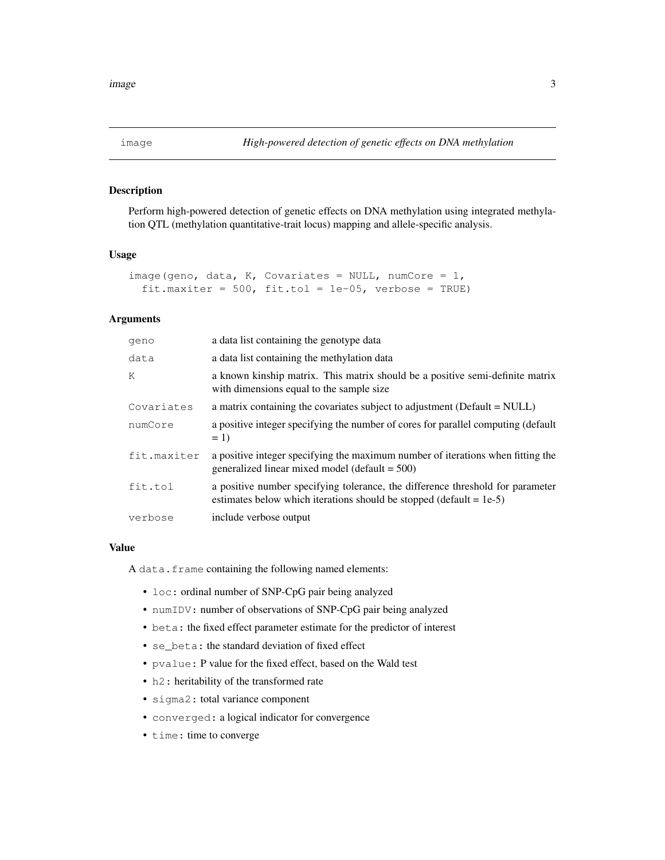# Description

Perform high-powered detection of genetic effects on DNA methylation using integrated methylation QTL (methylation quantitative-trait locus) mapping and allele-specific analysis.

### Usage

```
image(geno, data, K, Covariates = NULL, numCore = 1,
  fit.maxiter = 500, fit.tol = 1e-05, verbose = TRUE)
```
# Arguments

| geno        | a data list containing the genotype data                                                                                                                 |
|-------------|----------------------------------------------------------------------------------------------------------------------------------------------------------|
| data        | a data list containing the methylation data                                                                                                              |
| K           | a known kinship matrix. This matrix should be a positive semi-definite matrix<br>with dimensions equal to the sample size                                |
| Covariates  | a matrix containing the covariates subject to adjustment (Default = NULL)                                                                                |
| numCore     | a positive integer specifying the number of cores for parallel computing (default<br>$= 1$                                                               |
| fit.maxiter | a positive integer specifying the maximum number of iterations when fitting the<br>generalized linear mixed model (default $= 500$ )                     |
| fit.tol     | a positive number specifying tolerance, the difference threshold for parameter<br>estimates below which iterations should be stopped (default $= 1e-5$ ) |
| verbose     | include verbose output                                                                                                                                   |

#### Value

A data.frame containing the following named elements:

- loc: ordinal number of SNP-CpG pair being analyzed
- numIDV: number of observations of SNP-CpG pair being analyzed
- beta: the fixed effect parameter estimate for the predictor of interest
- se\_beta: the standard deviation of fixed effect
- pvalue: P value for the fixed effect, based on the Wald test
- h2: heritability of the transformed rate
- sigma2: total variance component
- converged: a logical indicator for convergence
- time: time to converge